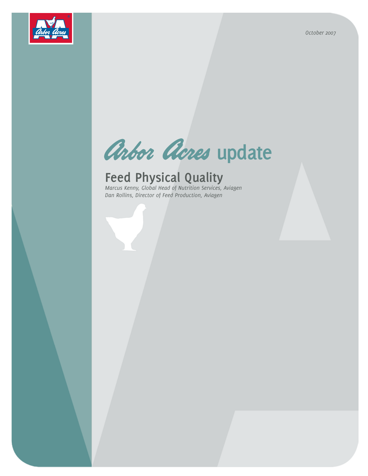*October 2007*



# Arbor Acres update

# **Feed Physical Quality**

*Marcus Kenny, Global Head of Nutrition Services, Aviagen Dan Rollins, Director of Feed Production, Aviagen*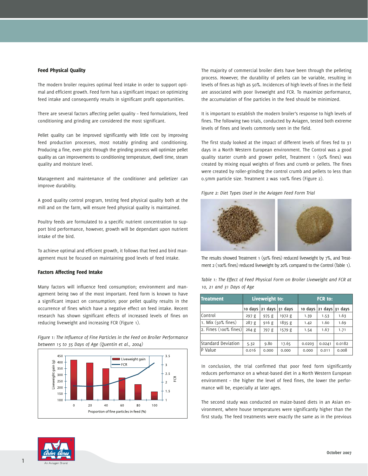#### Feed Physical Quality

The modern broiler requires optimal feed intake in order to support optimal and efficient growth. Feed form has a significant impact on optimizing feed intake and consequently results in significant profit opportunities.

There are several factors affecting pellet quality – feed formulations, feed conditioning and grinding are considered the most significant.

Pellet quality can be improved significantly with little cost by improving feed production processes, most notably grinding and conditioning. Producing a fine, even grist through the grinding process will optimize pellet quality as can improvements to conditioning temperature, dwell time, steam quality and moisture level.

Management and maintenance of the conditioner and pelletizer can improve durability.

A good quality control program, testing feed physical quality both at the mill and on the farm, will ensure feed physical quality is maintained.

Poultry feeds are formulated to a specific nutrient concentration to support bird performance, however, growth will be dependant upon nutrient intake of the bird.

To achieve optimal and efficient growth, it follows that feed and bird management must be focused on maintaining good levels of feed intake.

#### Factors Affecting Feed Intake

Many factors will influence feed consumption; environment and management being two of the most important. Feed form is known to have a significant impact on consumption; poor pellet quality results in the occurrence of fines which have a negative effect on feed intake. Recent research has shown significant effects of increased levels of fines on reducing liveweight and increasing FCR (Figure 1).

*Figure 1: The Influence of Fine Particles in the Feed on Broiler Performance between 15 to 35 Days of Age (Quentin et al., 2004)*



The majority of commercial broiler diets have been through the pelleting process. However, the durability of pellets can be variable, resulting in levels of fines as high as 50%. Incidences of high levels of fines in the field are associated with poor liveweight and FCR. To maximize performance, the accumulation of fine particles in the feed should be minimized.

It is important to establish the modern broiler's response to high levels of fines. The following two trials, conducted by Aviagen, tested both extreme levels of fines and levels commonly seen in the field.

The first study looked at the impact of different levels of fines fed to 31 days in a North Western European environment. The Control was a good quality starter crumb and grower pellet, Treatment 1 (50% fines) was created by mixing equal weights of fines and crumb or pellets. The fines were created by roller-grinding the control crumb and pellets to less than 0.5mm particle size. Treatment 2 was 100% fines (Figure 2).

*Figure 2: Diet Types Used in the Aviagen Feed Form Trial*



The results showed Treatment 1 (50% fines) reduced liveweight by 7%, and Treatment 2 (100% fines) reduced liveweight by 20% compared to the Control (Table 1).

| <b>Treatment</b>         | Liveweight to: |         |         | <b>FCR to:</b> |         |         |
|--------------------------|----------------|---------|---------|----------------|---------|---------|
|                          | 10 days        | 21 days | 31 days | 10 days        | 21 days | 31 days |
| Control                  | 297g           | 975g    | 1972 g  | 1.39           | 1.53    | 1.63    |
| 1. Mix (50% fines)       | 287g           | 916g    | 1835 g  | 1.42           | 1.60    | 1.69    |
| 2. Fines $(100\%$ fines) | 264g           | 797 g   | 1579 g  | 1.54           | 1.67    | 1.71    |
|                          |                |         |         |                |         |         |
| Standard Deviation       | 5.32           | 9.80    | 17.65   | 0.0203         | 0.0241  | 0.0182  |
| P Value                  | 0.016          | 0.000   | 0.000   | 0.000          | 0.011   | 0.008   |

*Table 1: The Effect of Feed Physical Form on Broiler Liveweight and FCR at 10, 21 and 31 Days of Age*

In conclusion, the trial confirmed that poor feed form significantly reduces performance on a wheat-based diet in a North Western European environment – the higher the level of feed fines, the lower the performance will be, especially at later ages.

The second study was conducted on maize-based diets in an Asian environment, where house temperatures were significantly higher than the first study. The feed treatments were exactly the same as in the previous

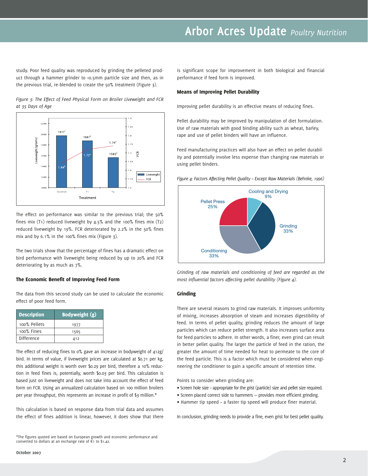# **Arbor Acres Update** *Poultry Nutrition*

study. Poor feed quality was reproduced by grinding the pelleted product through a hammer grinder to <0.5mm particle size and then, as in the previous trial, re-blended to create the 50% treatment (Figure 3).

*Figure 3: The Effect of Feed Physical Form on Broiler Liveweight and FCR at 35 Days of Age*



The effect on performance was similar to the previous trial; the 50% fines mix (T1) reduced liveweight by 4.5% and the 100% fines mix (T2) reduced liveweight by 19%. FCR deteriorated by 2.2% in the 50% fines mix and by 6.1% in the 100% fines mix (Figure 3).

The two trials show that the percentage of fines has a dramatic effect on bird performance with liveweight being reduced by up to 20% and FCR deteriorating by as much as 7%.

#### The Economic Benefit of Improving Feed Form

The data from this second study can be used to calculate the economic effect of poor feed form.

| <b>Description</b> | Bodyweight (g) |  |  |
|--------------------|----------------|--|--|
| 100% Pellets       | 1977           |  |  |
| 100% Fines         | 1565           |  |  |
| Difference         | 412            |  |  |

The effect of reducing fines to 0% gave an increase in bodyweight of 412g/ bird. In terms of value, if liveweight prices are calculated at \$0.71 per kg, this additional weight is worth over \$0.29 per bird, therefore a 10% reduction in feed fines is, potentially, worth \$0.03 per bird. This calculation is based just on liveweight and does not take into account the effect of feed form on FCR. Using an annualized calculation based on 100 million broilers per year throughput, this represents an increase in profit of \$3 million.\*

This calculation is based on response data from trial data and assumes the effect of fines addition is linear, however, it does show that there

\*The figures quoted are based on European growth and economic performance and converted to dollars at an exchange rate of  $\epsilon_1$  to \$1.42.

is significant scope for improvement in both biological and financial performance if feed form is improved.

#### Means of Improving Pellet Durability

Improving pellet durability is an effective means of reducing fines.

Pellet durability may be improved by manipulation of diet formulation. Use of raw materials with good binding ability such as wheat, barley, rape and use of pellet binders will have an influence.

Feed manufacturing practices will also have an effect on pellet durability and potentially involve less expense than changing raw materials or using pellet binders.

*Figure 4: Factors Affecting Pellet Quality – Except Raw Materials (Behnke, 1996)*



*Grinding of raw materials and conditioning of feed are regarded as the most influential factors affecting pellet durability (Figure 4).*

#### Grinding

There are several reasons to grind raw materials. It improves uniformity of mixing, increases absorption of steam and increases digestibility of feed. In terms of pellet quality, grinding reduces the amount of large particles which can reduce pellet strength. It also increases surface area for feed particles to adhere. In other words, a finer, even grind can result in better pellet quality. The larger the particle of feed in the ration, the greater the amount of time needed for heat to permeate to the core of the feed particle. This is a factor which must be considered when engineering the conditioner to gain a specific amount of retention time.

Points to consider when grinding are:

- ∑ Screen hole size appropriate for the grist (particle) size and pellet size required.
- ∑ Screen placed correct side to hammers provides more efficient grinding.
- ∑ Hammer tip speed a faster tip speed will produce finer material.

In conclusion, grinding needs to provide a fine, even grist for best pellet quality.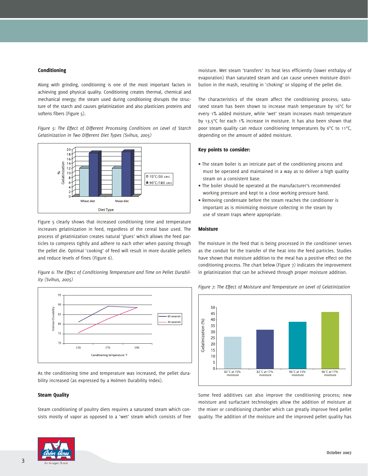#### Conditioning

Along with grinding, conditioning is one of the most important factors in achieving good physical quality. Conditioning creates thermal, chemical and mechanical energy; the steam used during conditioning disrupts the structure of the starch and causes gelatinization and also plasticizes proteins and softens fibers (Figure 5).

*Figure 5: The Effect of Different Processing Conditions on Level of Starch Gelatinization in Two Different Diet Types (Svihus, 2005)*



Figure 5 clearly shows that increased conditioning time and temperature increases gelatinization in feed, regardless of the cereal base used. The process of gelatinization creates natural 'glues' which allows the feed particles to compress tightly and adhere to each other when passing through the pellet die. Optimal 'cooking' of feed will result in more durable pellets and reduce levels of fines (Figure 6).

*Figure 6: The Effect of Conditioning Temperature and Time on Pellet Durability (Svihus, 2005)*



As the conditioning time and temperature was increased, the pellet durability increased (as expressed by a Holmen Durability Index).

#### Steam Quality

Steam conditioning of poultry diets requires a saturated steam which consists mostly of vapor as opposed to a 'wet' steam which consists of free



moisture. Wet steam 'transfers' its heat less efficiently (lower enthalpy of evaporation) than saturated steam and can cause uneven moisture distribution in the mash, resulting in 'choking' or slipping of the pellet die.

The characteristics of the steam affect the conditioning process; saturated steam has been shown to increase mash temperature by 16°C for every 1% added moisture, while 'wet' steam increases mash temperature by 13.5°C for each 1% increase in moisture. It has also been shown that poor steam quality can reduce conditioning temperatures by 6°C to 11°C, depending on the amount of added moisture.

#### Key points to consider:

- ∑ The steam boiler is an intricate part of the conditioning process and must be operated and maintained in a way as to deliver a high quality steam on a consistent base.
- ∑ The boiler should be operated at the manufacturer's recommended working pressure and kept to a close working pressure band.
- ∑ Removing condensate before the steam reaches the conditioner is important as is minimizing moisture collecting in the steam by use of steam traps where appropriate.

#### Moisture

The moisture in the feed that is being processed in the conditioner serves as the conduit for the transfer of the heat into the feed particles. Studies have shown that moisture addition to the meal has a positive effect on the conditioning process. The chart below (Figure 7) indicates the improvement in gelatinization that can be achieved through proper moisture addition.



*Figure 7: The Effect of Moisture and Temperature on Level of Gelatinization*

Some feed additives can also improve the conditioning process; new moisture and surfactant technologies allow the addition of moisture at the mixer or conditioning chamber which can greatly improve feed pellet quality. The addition of the moisture and the improved pellet quality has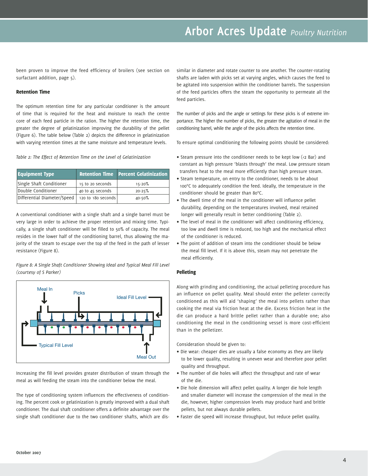# **Arbor Acres Update** *Poultry Nutrition*

been proven to improve the feed efficiency of broilers (see section on surfactant addition, page 5).

#### Retention Time

The optimum retention time for any particular conditioner is the amount of time that is required for the heat and moisture to reach the centre core of each feed particle in the ration. The higher the retention time, the greater the degree of gelatinization improving the durability of the pellet (Figure 6). The table below (Table 2) depicts the difference in gelatinization with varying retention times at the same moisture and temperature levels.

*Table 2: The Effect of Retention Time on the Level of Gelatinization*

| <b>Equipment Type</b>       |                    | <b>Retention Time Percent Gelatinization</b> |  |
|-----------------------------|--------------------|----------------------------------------------|--|
| Single Shaft Conditioner    | 15 to 20 seconds   | $15 - 20%$                                   |  |
| Double Conditioner          | 40 to 45 seconds   | $20 - 25%$                                   |  |
| Differential Diameter/Speed | 120 to 180 seconds | 40-50%                                       |  |

A conventional conditioner with a single shaft and a single barrel must be very large in order to achieve the proper retention and mixing time. Typically, a single shaft conditioner will be filled to 50% of capacity. The meal resides in the lower half of the conditioning barrel, thus allowing the majority of the steam to escape over the top of the feed in the path of lesser resistance (Figure 8).

*Figure 8: A Single Shaft Conditioner Showing Ideal and Typical Meal Fill Level (courtesy of S Parker)*



Increasing the fill level provides greater distribution of steam through the meal as will feeding the steam into the conditioner below the meal.

The type of conditioning system influences the effectiveness of conditioning. The percent cook or gelatinization is greatly improved with a dual shaft conditioner. The dual shaft conditioner offers a definite advantage over the single shaft conditioner due to the two conditioner shafts, which are dissimilar in diameter and rotate counter to one another. The counter-rotating shafts are laden with picks set at varying angles, which causes the feed to be agitated into suspension within the conditioner barrels. The suspension of the feed particles offers the steam the opportunity to permeate all the feed particles.

The number of picks and the angle or settings for these picks is of extreme importance. The higher the number of picks, the greater the agitation of meal in the conditioning barrel, while the angle of the picks affects the retention time.

To ensure optimal conditioning the following points should be considered:

- ∑ Steam pressure into the conditioner needs to be kept low (<2 Bar) and constant as high pressure 'blasts through' the meal. Low pressure steam transfers heat to the meal more efficiently than high pressure steam.
- ∑ Steam temperature, on entry to the conditioner, needs to be about 100°C to adequately condition the feed. Ideally, the temperature in the conditioner should be greater than 80°C.
- ∑ The dwell time of the meal in the conditioner will influence pellet durability, depending on the temperatures involved, meal retained longer will generally result in better conditioning (Table 2).
- ∑ The level of meal in the conditioner will affect conditioning efficiency, too low and dwell time is reduced, too high and the mechanical effect of the conditioner is reduced.
- ∑ The point of addition of steam into the conditioner should be below the meal fill level. If it is above this, steam may not penetrate the meal efficiently.

#### Pelleting

Along with grinding and conditioning, the actual pelleting procedure has an influence on pellet quality. Meal should enter the pelleter correctly conditioned as this will aid 'shaping' the meal into pellets rather than cooking the meal via friction heat at the die. Excess friction heat in the die can produce a hard brittle pellet rather than a durable one; also conditioning the meal in the conditioning vessel is more cost-efficient than in the pelletizer.

Consideration should be given to:

- ∑ Die wear: cheaper dies are usually a false economy as they are likely to be lower quality, resulting in uneven wear and therefore poor pellet quality and throughput.
- ∑ The number of die holes will affect the throughput and rate of wear of the die.
- ∑ Die hole dimension will affect pellet quality. A longer die hole length and smaller diameter will increase the compression of the meal in the die, however, higher compression levels may produce hard and brittle pellets, but not always durable pellets.
- ∑ Faster die speed will increase throughput, but reduce pellet quality.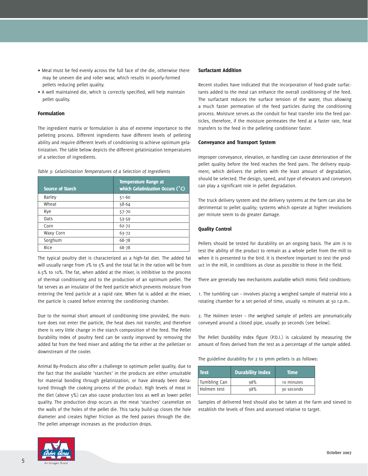- ∑ Meal must be fed evenly across the full face of the die, otherwise there may be uneven die and roller wear, which results in poorly-formed pellets reducing pellet quality.
- ∑ A well maintained die, which is correctly specified, will help maintain pellet quality.

#### Formulation

The ingredient matrix or formulation is also of extreme importance to the pelleting process. Different ingredients have different levels of pelleting ability and require different levels of conditioning to achieve optimum gelatinization. The table below depicts the different gelatinization temperatures of a selection of ingredients.

*Table 3: Gelatinization Temperatures of a Selection of Ingredients*

| <b>Source of Starch</b> | <b>Temperature Range at</b><br>which Gelatinization Occurs (°C) |
|-------------------------|-----------------------------------------------------------------|
| Barley                  | $51 - 60$                                                       |
| Wheat                   | 58-64                                                           |
| Rye                     | $57 - 70$                                                       |
| 0ats                    | $53 - 59$                                                       |
| Corn                    | $62 - 72$                                                       |
| Waxy Corn               | $63 - 72$                                                       |
| Sorghum                 | 68-78                                                           |
| Rice                    | 68-78                                                           |

The typical poultry diet is characterized as a high-fat diet. The added fat will usually range from 2% to 5% and the total fat in the ration will be from 6.5% to 10%. The fat, when added at the mixer, is inhibitive to the process of thermal conditioning and to the production of an optimum pellet. The fat serves as an insulator of the feed particle which prevents moisture from entering the feed particle at a rapid rate. When fat is added at the mixer, the particle is coated before entering the conditioning chamber.

Due to the normal short amount of conditioning time provided, the moisture does not enter the particle, the heat does not transfer, and therefore there is very little change in the starch composition of the feed. The Pellet Durability Index of poultry feed can be vastly improved by removing the added fat from the feed mixer and adding the fat either at the pelletizer or downstream of the cooler.

Animal By-Products also offer a challenge to optimum pellet quality, due to the fact that the available 'starches' in the products are either unsuitable for material bonding through gelatinization, or have already been denatured through the cooking process of the product. High levels of meat in the diet (above 5%) can also cause production loss as well as lower pellet quality. The production drop occurs as the meat 'starches' caramelize on the walls of the holes of the pellet die. This tacky build-up closes the hole diameter and creates higher friction as the feed passes through the die. The pellet amperage increases as the production drops.



#### Surfactant Addition

Recent studies have indicated that the incorporation of food-grade surfactants added to the meal can enhance the overall conditioning of the feed. The surfactant reduces the surface tension of the water, thus allowing a much faster permeation of the feed particles during the conditioning process. Moisture serves as the conduit for heat transfer into the feed particles, therefore, if the moisture permeates the feed at a faster rate, heat transfers to the feed in the pelleting conditioner faster.

#### Conveyance and Transport System

Improper conveyance, elevation, or handling can cause deterioration of the pellet quality before the feed reaches the feed pans. The delivery equipment, which delivers the pellets with the least amount of degradation, should be selected. The design, speed, and type of elevators and conveyors can play a significant role in pellet degradation.

The truck delivery system and the delivery systems at the farm can also be detrimental to pellet quality; systems which operate at higher revolutions per minute seem to do greater damage.

#### Quality Control

Pellets should be tested for durability on an ongoing basis. The aim is to test the ability of the product to remain as a whole pellet from the mill to when it is presented to the bird. It is therefore important to test the product in the mill, in conditions as close as possible to those in the field.

There are generally two mechanisms available which mimic field conditions:

1. The tumbling can – involves placing a weighed sample of material into a rotating chamber for a set period of time, usually 10 minutes at 50 r.p.m..

2. The Holmen tester – the weighed sample of pellets are pneumatically conveyed around a closed pipe, usually 30 seconds (see below).

The Pellet Durability Index figure (P.D.I.) is calculated by measuring the amount of fines derived from the test as a percentage of the sample added.

The guideline durability for 2 to 3mm pellets is as follows:

| Test         | <b>Durability Index</b> | <b>Time</b> |
|--------------|-------------------------|-------------|
| Tumbling Can | 98%                     | 10 minutes  |
| Holmen test  | 98%                     | 30 seconds  |

Samples of delivered feed should also be taken at the farm and sieved to establish the levels of fines and assessed relative to target.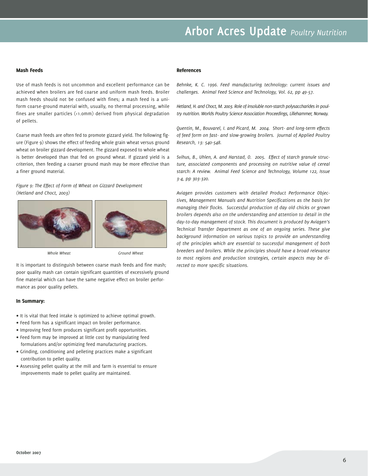# **Arbor Acres Update** *Poultry Nutrition*

#### Mash Feeds

Use of mash feeds is not uncommon and excellent performance can be achieved when broilers are fed coarse and uniform mash feeds. Broiler mash feeds should not be confused with fines; a mash feed is a uniform coarse-ground material with, usually, no thermal processing, while fines are smaller particles (<1.0mm) derived from physical degradation of pellets.

Coarse mash feeds are often fed to promote gizzard yield. The following figure (Figure 9) shows the effect of feeding whole grain wheat versus ground wheat on broiler gizzard development. The gizzard exposed to whole wheat is better developed than that fed on ground wheat. If gizzard yield is a criterion, then feeding a coarser ground mash may be more effective than a finer ground material.

*Figure 9: The Effect of Form of Wheat on Gizzard Development (Hetland and Choct, 2003)*



It is important to distinguish between coarse mash feeds and fine mash; poor quality mash can contain significant quantities of excessively ground fine material which can have the same negative effect on broiler performance as poor quality pellets.

#### In Summary:

- ∑ It is vital that feed intake is optimized to achieve optimal growth.
- ∑ Feed form has a significant impact on broiler performance.
- ∑ Improving feed form produces significant profit opportunities.
- ∑ Feed form may be improved at little cost by manipulating feed formulations and/or optimizing feed manufacturing practices.
- ∑ Grinding, conditioning and pelleting practices make a significant contribution to pellet quality.
- ∑ Assessing pellet quality at the mill and farm is essential to ensure improvements made to pellet quality are maintained.

#### References

*Behnke, K. C. 1996. Feed manufacturing technology: current issues and challenges. Animal Feed Science and Technology, Vol. 62, pp 49-57.*

*Hetland, H. and Choct, M. 2003. Role of insoluble non-starch polysaccharides in poultry nutrition. Worlds Poultry Science Association Proceedings, Lillehammer, Norway.* 

*Quentin, M., Bouvarel, I. and Picard, M. 2004. Short- and long-term effects of feed form on fast- and slow-growing broilers. Journal of Applied Poultry Research, 13: 540-548.*

*Svihus, B., Uhlen, A. and Harstad, O. 2005. Effect of starch granule structure, associated components and processing on nutritive value of cereal starch: A review. Animal Feed Science and Technology, Volume 122, Issue 3-4, pp 303-320.* 

*Aviagen provides customers with detailed Product Performance Objectives, Management Manuals and Nutrition Specifications as the basis for managing their flocks. Successful production of day old chicks or grown broilers depends also on the understanding and attention to detail in the day-to-day management of stock. This document is produced by Aviagen's Technical Transfer Department as one of an ongoing series. These give background information on various topics to provide an understanding of the principles which are essential to successful management of both breeders and broilers. While the principles should have a broad relevance to most regions and production strategies, certain aspects may be directed to more specific situations.*